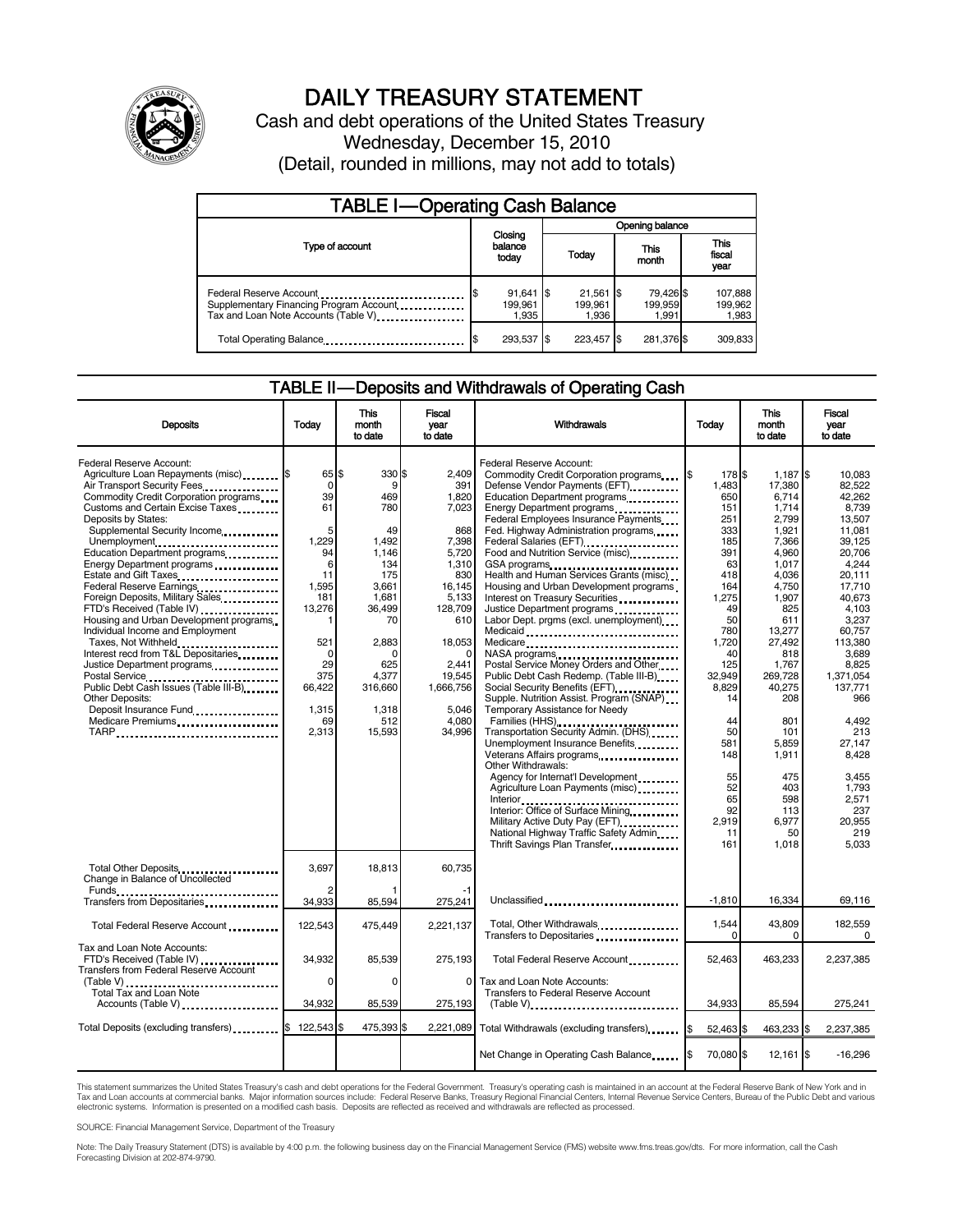

# DAILY TREASURY STATEMENT

Cash and debt operations of the United States Treasury Wednesday, December 15, 2010 (Detail, rounded in millions, may not add to totals)

| <b>TABLE I-Operating Cash Balance</b>                                                                      |                                       |                                 |                               |                             |  |  |  |  |
|------------------------------------------------------------------------------------------------------------|---------------------------------------|---------------------------------|-------------------------------|-----------------------------|--|--|--|--|
|                                                                                                            |                                       | Opening balance                 |                               |                             |  |  |  |  |
| Type of account                                                                                            | Closing<br>balance<br>today           | Today                           | This<br>month                 | This<br>fiscal<br>year      |  |  |  |  |
| Federal Reserve Account<br>Supplementary Financing Program Account<br>Tax and Loan Note Accounts (Table V) | $91,641$ \$<br>\$<br>199.961<br>1,935 | $21,561$ \$<br>199.961<br>1,936 | 79,426 \$<br>199,959<br>1,991 | 107,888<br>199,962<br>1,983 |  |  |  |  |
| Total Operating Balance                                                                                    | 293,537 \$                            | 223.457                         | 281,376 \$                    | 309,833                     |  |  |  |  |

#### TABLE II — Deposits and Withdrawals of Operating Cash

| <b>Deposits</b>                                                                                                                                                                                                                                                                                                                                                                                                                                                                                                                                                                                                                                                                                                                                           | Todav                                                                                                                                             | This<br>month<br>to date                                                                                                                                             | Fiscal<br>year<br>to date                                                                                                                                                          | Withdrawals                                                                                                                                                                                                                                                                                                                                                                                                                                                                                                                                                                                                                                                                                                                                                                                                                                                                                                                                                                                                                                                                                                                                                                   | <b>This</b><br>Todav<br>month<br>to date                                                                                                                                                                                                |                                                                                                                                                                                                                                                                                   | Fiscal<br>vear<br>to date                                                                                                                                                                                                                                                                                 |
|-----------------------------------------------------------------------------------------------------------------------------------------------------------------------------------------------------------------------------------------------------------------------------------------------------------------------------------------------------------------------------------------------------------------------------------------------------------------------------------------------------------------------------------------------------------------------------------------------------------------------------------------------------------------------------------------------------------------------------------------------------------|---------------------------------------------------------------------------------------------------------------------------------------------------|----------------------------------------------------------------------------------------------------------------------------------------------------------------------|------------------------------------------------------------------------------------------------------------------------------------------------------------------------------------|-------------------------------------------------------------------------------------------------------------------------------------------------------------------------------------------------------------------------------------------------------------------------------------------------------------------------------------------------------------------------------------------------------------------------------------------------------------------------------------------------------------------------------------------------------------------------------------------------------------------------------------------------------------------------------------------------------------------------------------------------------------------------------------------------------------------------------------------------------------------------------------------------------------------------------------------------------------------------------------------------------------------------------------------------------------------------------------------------------------------------------------------------------------------------------|-----------------------------------------------------------------------------------------------------------------------------------------------------------------------------------------------------------------------------------------|-----------------------------------------------------------------------------------------------------------------------------------------------------------------------------------------------------------------------------------------------------------------------------------|-----------------------------------------------------------------------------------------------------------------------------------------------------------------------------------------------------------------------------------------------------------------------------------------------------------|
| Federal Reserve Account:<br>Agriculture Loan Repayments (misc) [\$<br>Air Transport Security Fees<br>Commodity Credit Corporation programs<br>Customs and Certain Excise Taxes<br>Deposits by States:<br>Supplemental Security Income<br>Unemployment<br>Education Department programs<br>Energy Department programs<br>Estate and Gift Taxes<br>Federal Reserve Earnings<br>Foreign Deposits, Military Sales<br>FTD's Received (Table IV)<br>Housing and Urban Development programs<br>Individual Income and Employment<br>Taxes, Not Withheld<br>Interest recd from T&L Depositaries<br>Justice Department programs<br>Postal Service<br>Public Debt Cash Issues (Table III-B)<br><b>Other Deposits:</b><br>Deposit Insurance Fund<br>Medicare Premiums | 65 \$<br>0<br>39<br>61<br>5<br>1,229<br>94<br>6<br>11<br>1,595<br>181<br>13,276<br>521<br>$\Omega$<br>29<br>375<br>66,422<br>1,315<br>69<br>2,313 | 330 \$<br>9<br>469<br>780<br>49<br>1,492<br>1,146<br>134<br>175<br>3,661<br>1,681<br>36,499<br>70<br>2,883<br>n<br>625<br>4,377<br>316,660<br>1,318<br>512<br>15,593 | 2.409<br>391<br>1,820<br>7,023<br>868<br>7,398<br>5,720<br>1,310<br>830<br>16,145<br>5,133<br>128,709<br>610<br>18,053<br>2,441<br>19,545<br>1,666,756<br>5,046<br>4,080<br>34,996 | Federal Reserve Account:<br>Commodity Credit Corporation programs<br>Defense Vendor Payments (EFT)<br>Education Department programs<br>Energy Department programs<br>Federal Employees Insurance Payments<br>Fed. Highway Administration programs<br>Federal Salaries (EFT)<br>1991 - Pateral Salaries (EFT)<br>Food and Nutrition Service (misc) [100]<br>GSA programs<br>Health and Human Services Grants (misc)<br>Housing and Urban Development programs<br>Interest on Treasury Securities<br>Justice Department programs<br>Labor Dept. prgms (excl. unemployment)<br>Medicaid<br>Medicare<br>NASA programs<br>Postal Service Money Orders and Other<br>Public Debt Cash Redemp. (Table III-B)<br>Social Security Benefits (EFT)<br>Supple. Nutrition Assist. Program (SNAP)<br>Temporary Assistance for Needy<br>Families (HHS)<br>Transportation Security Admin. (DHS)<br>Unemployment Insurance Benefits<br>Other Withdrawals:<br>Agency for Internat'l Development<br>Agriculture Loan Payments (misc)<br>Interior<br>Interior: Office of Surface Mining<br>Military Active Duty Pay (EFT)<br>National Highway Traffic Safety Admin<br>Thrift Savings Plan Transfer | 178 \$<br>I\$<br>1.483<br>650<br>151<br>251<br>333<br>185<br>391<br>63<br>418<br>164<br>1,275<br>49<br>50<br>780<br>1,720<br>40<br>125<br>32.949<br>8.829<br>14<br>44<br>50<br>581<br>148<br>55<br>52<br>65<br>92<br>2.919<br>11<br>161 | $1.187$ \\$<br>17.380<br>6,714<br>1,714<br>2,799<br>1.921<br>7,366<br>4,960<br>1,017<br>4,036<br>4,750<br>1,907<br>825<br>611<br>13,277<br>27,492<br>818<br>1,767<br>269,728<br>40,275<br>208<br>801<br>101<br>5.859<br>1,911<br>475<br>403<br>598<br>113<br>6,977<br>50<br>1,018 | 10.083<br>82.522<br>42,262<br>8,739<br>13,507<br>11.081<br>39,125<br>20,706<br>4.244<br>20,111<br>17,710<br>40.673<br>4.103<br>3,237<br>60,757<br>113.380<br>3.689<br>8,825<br>1,371,054<br>137,771<br>966<br>4,492<br>213<br>27,147<br>8,428<br>3.455<br>1,793<br>2,571<br>237<br>20.955<br>219<br>5.033 |
| Total Other Deposits<br>Change in Balance of Uncollected<br>Funds                                                                                                                                                                                                                                                                                                                                                                                                                                                                                                                                                                                                                                                                                         | 3.697                                                                                                                                             | 18.813                                                                                                                                                               | 60.735                                                                                                                                                                             |                                                                                                                                                                                                                                                                                                                                                                                                                                                                                                                                                                                                                                                                                                                                                                                                                                                                                                                                                                                                                                                                                                                                                                               |                                                                                                                                                                                                                                         |                                                                                                                                                                                                                                                                                   |                                                                                                                                                                                                                                                                                                           |
| Transfers from Depositaries                                                                                                                                                                                                                                                                                                                                                                                                                                                                                                                                                                                                                                                                                                                               | 34,933                                                                                                                                            | 85,594                                                                                                                                                               | 275,241                                                                                                                                                                            | Unclassified                                                                                                                                                                                                                                                                                                                                                                                                                                                                                                                                                                                                                                                                                                                                                                                                                                                                                                                                                                                                                                                                                                                                                                  | $-1.810$                                                                                                                                                                                                                                | 16.334                                                                                                                                                                                                                                                                            | 69,116                                                                                                                                                                                                                                                                                                    |
| Total Federal Reserve Account                                                                                                                                                                                                                                                                                                                                                                                                                                                                                                                                                                                                                                                                                                                             | 122,543                                                                                                                                           | 475,449                                                                                                                                                              | 2,221,137                                                                                                                                                                          | Total, Other Withdrawals<br>Transfers to Depositaries                                                                                                                                                                                                                                                                                                                                                                                                                                                                                                                                                                                                                                                                                                                                                                                                                                                                                                                                                                                                                                                                                                                         | 1,544<br>$\Omega$                                                                                                                                                                                                                       | 43,809<br>0                                                                                                                                                                                                                                                                       | 182,559<br>$\Omega$                                                                                                                                                                                                                                                                                       |
| Tax and Loan Note Accounts:<br>FTD's Received (Table IV)<br>Transfers from Federal Reserve Account                                                                                                                                                                                                                                                                                                                                                                                                                                                                                                                                                                                                                                                        | 34.932                                                                                                                                            | 85,539                                                                                                                                                               | 275,193                                                                                                                                                                            | Total Federal Reserve Account                                                                                                                                                                                                                                                                                                                                                                                                                                                                                                                                                                                                                                                                                                                                                                                                                                                                                                                                                                                                                                                                                                                                                 | 52,463                                                                                                                                                                                                                                  | 463,233                                                                                                                                                                                                                                                                           | 2,237,385                                                                                                                                                                                                                                                                                                 |
| (Table V)<br>Total Tax and Loan Note<br>Accounts (Table V)                                                                                                                                                                                                                                                                                                                                                                                                                                                                                                                                                                                                                                                                                                | $\Omega$<br>34.932                                                                                                                                | $\Omega$<br>85,539                                                                                                                                                   | 0<br>275,193                                                                                                                                                                       | Tax and Loan Note Accounts:<br>Transfers to Federal Reserve Account<br>$(Table V)$                                                                                                                                                                                                                                                                                                                                                                                                                                                                                                                                                                                                                                                                                                                                                                                                                                                                                                                                                                                                                                                                                            | 34.933                                                                                                                                                                                                                                  | 85,594                                                                                                                                                                                                                                                                            | 275,241                                                                                                                                                                                                                                                                                                   |
| Total Deposits (excluding transfers) <b>S</b>                                                                                                                                                                                                                                                                                                                                                                                                                                                                                                                                                                                                                                                                                                             | 122,543                                                                                                                                           | 475,393 \$                                                                                                                                                           | 2,221,089                                                                                                                                                                          | Total Withdrawals (excluding transfers) [8]                                                                                                                                                                                                                                                                                                                                                                                                                                                                                                                                                                                                                                                                                                                                                                                                                                                                                                                                                                                                                                                                                                                                   | 52,463 \$                                                                                                                                                                                                                               | 463,233 \$                                                                                                                                                                                                                                                                        | 2,237,385                                                                                                                                                                                                                                                                                                 |
|                                                                                                                                                                                                                                                                                                                                                                                                                                                                                                                                                                                                                                                                                                                                                           |                                                                                                                                                   |                                                                                                                                                                      |                                                                                                                                                                                    | Net Change in Operating Cash Balance                                                                                                                                                                                                                                                                                                                                                                                                                                                                                                                                                                                                                                                                                                                                                                                                                                                                                                                                                                                                                                                                                                                                          | 70.080 \$                                                                                                                                                                                                                               | $12,161$ $\sqrt{5}$                                                                                                                                                                                                                                                               | $-16,296$                                                                                                                                                                                                                                                                                                 |

This statement summarizes the United States Treasury's cash and debt operations for the Federal Government. Treasury's operating cash is maintained in an account at the Federal Reserve Bank of New York and in<br>Tax and Loan electronic systems. Information is presented on a modified cash basis. Deposits are reflected as received and withdrawals are reflected as processed.

SOURCE: Financial Management Service, Department of the Treasury

Note: The Daily Treasury Statement (DTS) is available by 4:00 p.m. the following business day on the Financial Management Service (FMS) website www.fms.treas.gov/dts. For more information, call the Cash Forecasting Division at 202-874-9790.